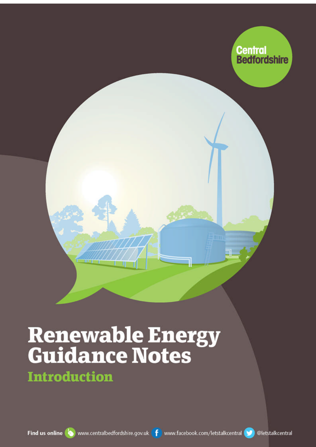

# **Renewable Energy<br>Guidance Notes**

**Introduction**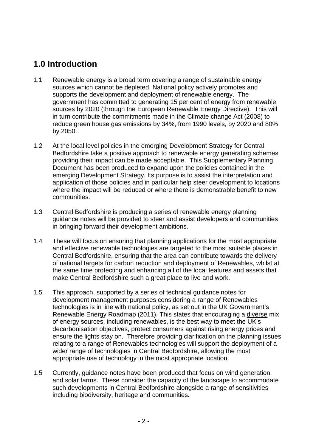# **1.0 Introduction**

- 1.1 Renewable energy is a broad term covering a range of sustainable energy sources which cannot be depleted. National policy actively promotes and supports the development and deployment of renewable energy. The government has committed to generating 15 per cent of energy from renewable sources by 2020 (through the European Renewable Energy Directive). This will in turn contribute the commitments made in the Climate change Act (2008) to reduce green house gas emissions by 34%, from 1990 levels, by 2020 and 80% by 2050.
- 1.2 At the local level policies in the emerging Development Strategy for Central Bedfordshire take a positive approach to renewable energy generating schemes providing their impact can be made acceptable. This Supplementary Planning Document has been produced to expand upon the policies contained in the emerging Development Strategy. Its purpose is to assist the interpretation and application of those policies and in particular help steer development to locations where the impact will be reduced or where there is demonstrable benefit to new communities.
- 1.3 Central Bedfordshire is producing a series of renewable energy planning guidance notes will be provided to steer and assist developers and communities in bringing forward their development ambitions.
- 1.4 These will focus on ensuring that planning applications for the most appropriate and effective renewable technologies are targeted to the most suitable places in Central Bedfordshire, ensuring that the area can contribute towards the delivery of national targets for carbon reduction and deployment of Renewables, whilst at the same time protecting and enhancing all of the local features and assets that make Central Bedfordshire such a great place to live and work.
- 1.5 This approach, supported by a series of technical guidance notes for development management purposes considering a range of Renewables technologies is in line with national policy, as set out in the UK Government's Renewable Energy Roadmap (2011). This states that encouraging a diverse mix of energy sources, including renewables, is the best way to meet the UK's decarbonisation objectives, protect consumers against rising energy prices and ensure the lights stay on. Therefore providing clarification on the planning issues relating to a range of Renewables technologies will support the deployment of a wider range of technologies in Central Bedfordshire, allowing the most appropriate use of technology in the most appropriate location.
- 1.5 Currently, guidance notes have been produced that focus on wind generation and solar farms. These consider the capacity of the landscape to accommodate such developments in Central Bedfordshire alongside a range of sensitivities including biodiversity, heritage and communities.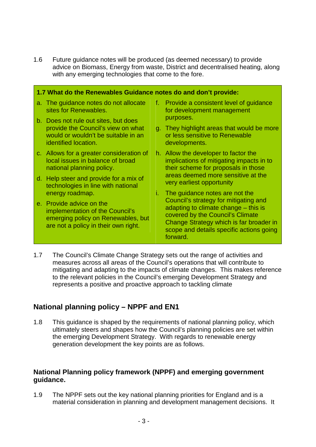1.6 Future guidance notes will be produced (as deemed necessary) to provide advice on Biomass, Energy from waste, District and decentralised heating, along with any emerging technologies that come to the fore.

| 1.7 What do the Renewables Guidance notes do and don't provide: |                                                                                                                                           |    |                                                                                                                                                                                                                                                        |  |
|-----------------------------------------------------------------|-------------------------------------------------------------------------------------------------------------------------------------------|----|--------------------------------------------------------------------------------------------------------------------------------------------------------------------------------------------------------------------------------------------------------|--|
|                                                                 | a. The guidance notes do not allocate<br>sites for Renewables.                                                                            | f. | Provide a consistent level of quidance<br>for development management                                                                                                                                                                                   |  |
|                                                                 | b. Does not rule out sites, but does<br>provide the Council's view on what<br>would or wouldn't be suitable in an                         |    | purposes.<br>g. They highlight areas that would be more<br>or less sensitive to Renewable                                                                                                                                                              |  |
|                                                                 | identified location.                                                                                                                      |    | developments.                                                                                                                                                                                                                                          |  |
|                                                                 | c. Allows for a greater consideration of<br>local issues in balance of broad<br>national planning policy.                                 |    | h. Allow the developer to factor the<br>implications of mitigating impacts in to<br>their scheme for proposals in those<br>areas deemed more sensitive at the<br>very earliest opportunity                                                             |  |
|                                                                 | d. Help steer and provide for a mix of<br>technologies in line with national                                                              |    |                                                                                                                                                                                                                                                        |  |
|                                                                 | energy roadmap.                                                                                                                           | L. | The guidance notes are not the<br>Council's strategy for mitigating and<br>adapting to climate change – this is<br>covered by the Council's Climate<br>Change Strategy which is far broader in<br>scope and details specific actions going<br>forward. |  |
|                                                                 | e. Provide advice on the<br>implementation of the Council's<br>emerging policy on Renewables, but<br>are not a policy in their own right. |    |                                                                                                                                                                                                                                                        |  |

1.7 The Council's Climate Change Strategy sets out the range of activities and measures across all areas of the Council's operations that will contribute to mitigating and adapting to the impacts of climate changes. This makes reference to the relevant policies in the Council's emerging Development Strategy and represents a positive and proactive approach to tackling climate

## **National planning policy – NPPF and EN1**

1.8 This guidance is shaped by the requirements of national planning policy, which ultimately steers and shapes how the Council's planning policies are set within the emerging Development Strategy. With regards to renewable energy generation development the key points are as follows.

### **National Planning policy framework (NPPF) and emerging government guidance.**

1.9 The NPPF sets out the key national planning priorities for England and is a material consideration in planning and development management decisions. It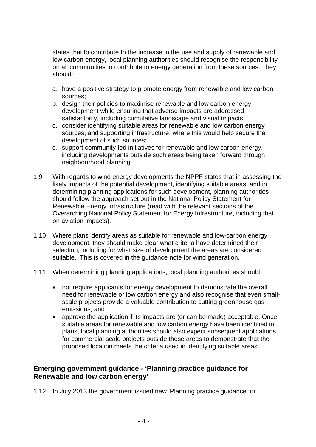states that to contribute to the increase in the use and supply of renewable and low carbon energy, local planning authorities should recognise the responsibility on all communities to contribute to energy generation from these sources. They should:

- a. have a positive strategy to promote energy from renewable and low carbon sources;
- b. design their policies to maximise renewable and low carbon energy development while ensuring that adverse impacts are addressed satisfactorily, including cumulative landscape and visual impacts;
- c. consider identifying suitable areas for renewable and low carbon energy sources, and supporting infrastructure, where this would help secure the development of such sources;
- d. support community-led initiatives for renewable and low carbon energy, including developments outside such areas being taken forward through neighbourhood planning.
- 1.9 With regards to wind energy developments the NPPF states that in assessing the likely impacts of the potential development, identifying suitable areas, and in determining planning applications for such development, planning authorities should follow the approach set out in the National Policy Statement for Renewable Energy Infrastructure (read with the relevant sections of the Overarching National Policy Statement for Energy Infrastructure, including that on aviation impacts).
- 1.10 Where plans identify areas as suitable for renewable and low-carbon energy development, they should make clear what criteria have determined their selection, including for what size of development the areas are considered suitable. This is covered in the guidance note for wind generation.
- 1.11 When determining planning applications, local planning authorities should:
	- not require applicants for energy development to demonstrate the overall need for renewable or low carbon energy and also recognise that even smallscale projects provide a valuable contribution to cutting greenhouse gas emissions; and
	- approve the application if its impacts are (or can be made) acceptable. Once suitable areas for renewable and low carbon energy have been identified in plans, local planning authorities should also expect subsequent applications for commercial scale projects outside these areas to demonstrate that the proposed location meets the criteria used in identifying suitable areas.

### **Emerging government guidance - 'Planning practice guidance for Renewable and low carbon energy'**

1.12 In July 2013 the government issued new 'Planning practice guidance for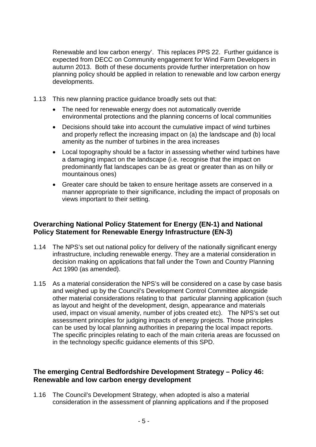Renewable and low carbon energy'. This replaces PPS 22. Further guidance is expected from DECC on Community engagement for Wind Farm Developers in autumn 2013. Both of these documents provide further interpretation on how planning policy should be applied in relation to renewable and low carbon energy developments.

- 1.13 This new planning practice guidance broadly sets out that:
	- The need for renewable energy does not automatically override environmental protections and the planning concerns of local communities
	- Decisions should take into account the cumulative impact of wind turbines and properly reflect the increasing impact on (a) the landscape and (b) local amenity as the number of turbines in the area increases
	- Local topography should be a factor in assessing whether wind turbines have a damaging impact on the landscape (i.e. recognise that the impact on predominantly flat landscapes can be as great or greater than as on hilly or mountainous ones)
	- Greater care should be taken to ensure heritage assets are conserved in a manner appropriate to their significance, including the impact of proposals on views important to their setting.

### **Overarching National Policy Statement for Energy (EN-1) and National Policy Statement for Renewable Energy Infrastructure (EN-3)**

- 1.14 The NPS's set out national policy for delivery of the nationally significant energy infrastructure, including renewable energy. They are a material consideration in decision making on applications that fall under the Town and Country Planning Act 1990 (as amended).
- 1.15 As a material consideration the NPS's will be considered on a case by case basis and weighed up by the Council's Development Control Committee alongside other material considerations relating to that particular planning application (such as layout and height of the development, design, appearance and materials used, impact on visual amenity, number of jobs created etc). The NPS's set out assessment principles for judging impacts of energy projects. Those principles can be used by local planning authorities in preparing the local impact reports. The specific principles relating to each of the main criteria areas are focussed on in the technology specific guidance elements of this SPD.

### **The emerging Central Bedfordshire Development Strategy – Policy 46: Renewable and low carbon energy development**

1.16 The Council's Development Strategy, when adopted is also a material consideration in the assessment of planning applications and if the proposed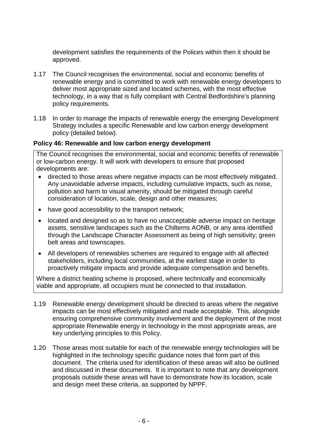development satisfies the requirements of the Polices within then it should be approved.

- 1.17 The Council recognises the environmental, social and economic benefits of renewable energy and is committed to work with renewable energy developers to deliver most appropriate sized and located schemes, with the most effective technology, in a way that is fully compliant with Central Bedfordshire's planning policy requirements.
- 1.18 In order to manage the impacts of renewable energy the emerging Development Strategy includes a specific Renewable and low carbon energy development policy (detailed below).

### **Policy 46: Renewable and low carbon energy development**

The Council recognises the environmental, social and economic benefits of renewable or low-carbon energy. It will work with developers to ensure that proposed developments are:

- directed to those areas where negative impacts can be most effectively mitigated. Any unavoidable adverse impacts, including cumulative impacts, such as noise, pollution and harm to visual amenity, should be mitigated through careful consideration of location, scale, design and other measures;
- have good accessibility to the transport network;
- located and designed so as to have no unacceptable adverse impact on heritage assets, sensitive landscapes such as the Chilterns AONB, or any area identified through the Landscape Character Assessment as being of high sensitivity; green belt areas and townscapes.
- All developers of renewables schemes are required to engage with all affected stakeholders, including local communities, at the earliest stage in order to proactively mitigate impacts and provide adequate compensation and benefits.

Where a district heating scheme is proposed, where technically and economically viable and appropriate, all occupiers must be connected to that installation.

- 1.19 Renewable energy development should be directed to areas where the negative impacts can be most effectively mitigated and made acceptable. This, alongside ensuring comprehensive community involvement and the deployment of the most appropriate Renewable energy in technology in the most appropriate areas, are key underlying principles to this Policy.
- 1.20 Those areas most suitable for each of the renewable energy technologies will be highlighted in the technology specific guidance notes that form part of this document. The criteria used for identification of these areas will also be outlined and discussed in these documents. It is important to note that any development proposals outside these areas will have to demonstrate how its location, scale and design meet these criteria, as supported by NPPF.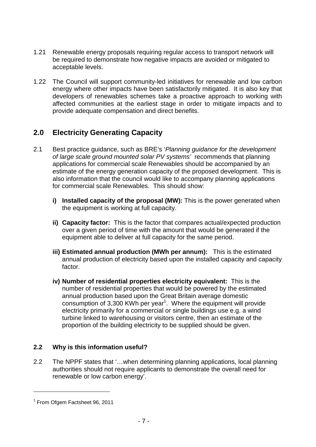- 1.21 Renewable energy proposals requiring regular access to transport network will be required to demonstrate how negative impacts are avoided or mitigated to acceptable levels.
- 1.22 The Council will support community-led initiatives for renewable and low carbon energy where other impacts have been satisfactorily mitigated. It is also key that developers of renewables schemes take a proactive approach to working with affected communities at the earliest stage in order to mitigate impacts and to provide adequate compensation and direct benefits.

# **2.0 Electricity Generating Capacity**

- 2.1 Best practice guidance, such as BRE's '*Planning guidance for the development of large scale ground mounted solar PV systems'* recommends that planning applications for commercial scale Renewables should be accompanied by an estimate of the energy generation capacity of the proposed development. This is also information that the council would like to accompany planning applications for commercial scale Renewables. This should show:
	- **i) Installed capacity of the proposal (MW):** This is the power generated when the equipment is working at full capacity.
	- **ii) Capacity factor:** This is the factor that compares actual/expected production over a given period of time with the amount that would be generated if the equipment able to deliver at full capacity for the same period.
	- **iii) Estimated annual production (MWh per annum):** This is the estimated annual production of electricity based upon the installed capacity and capacity factor.
	- **iv) Number of residential properties electricity equivalent:** This is the number of residential properties that would be powered by the estimated annual production based upon the Great Britain average domestic consumption of 3,300 KWh per year<sup>1</sup>. Where the equipment will provide electricity primarily for a commercial or single buildings use e.g. a wind turbine linked to warehousing or visitors centre, then an estimate of the proportion of the building electricity to be supplied should be given.

### **2.2 Why is this information useful?**

2.2 The NPPF states that '…when determining planning applications, local planning authorities should not require applicants to demonstrate the overall need for renewable or low carbon energy'.

<sup>&</sup>lt;sup>1</sup> From Ofgem Factsheet 96, 2011